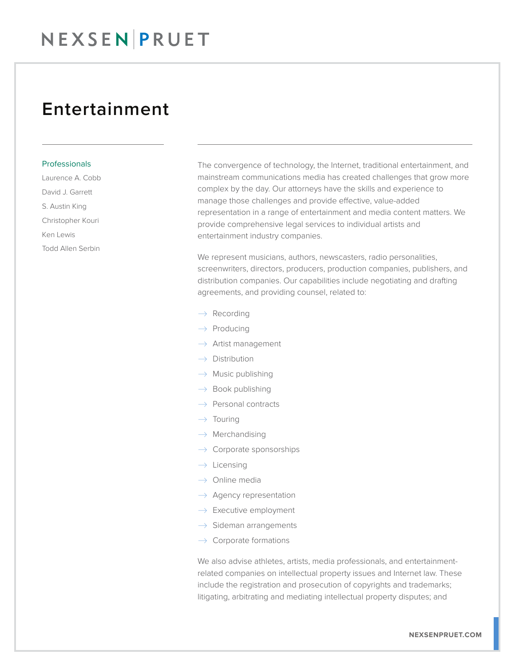## Entertainment

## Professionals

Laurence A. Cobb David J. Garrett S. Austin King Christopher Kouri Ken Lewis Todd Allen Serbin

The convergence of technology, the Internet, traditional entertainment, and mainstream communications media has created challenges that grow more complex by the day. Our attorneys have the skills and experience to manage those challenges and provide effective, value-added representation in a range of entertainment and media content matters. We provide comprehensive legal services to individual artists and entertainment industry companies.

We represent musicians, authors, newscasters, radio personalities, screenwriters, directors, producers, production companies, publishers, and distribution companies. Our capabilities include negotiating and drafting agreements, and providing counsel, related to:

- $\rightarrow$  Recording
- $\rightarrow$  Producing
- $\rightarrow$  Artist management
- $\rightarrow$  Distribution
- $\rightarrow$  Music publishing
- $\rightarrow$  Book publishing
- $\rightarrow$  Personal contracts
- $\rightarrow$  Touring
- $\rightarrow$  Merchandising
- $\rightarrow$  Corporate sponsorships
- $\rightarrow$  Licensing
- $\rightarrow$  Online media
- $\rightarrow$  Agency representation
- $\rightarrow$  Executive employment
- $\rightarrow$  Sideman arrangements
- $\rightarrow$  Corporate formations

We also advise athletes, artists, media professionals, and entertainmentrelated companies on intellectual property issues and Internet law. These include the registration and prosecution of copyrights and trademarks; litigating, arbitrating and mediating intellectual property disputes; and